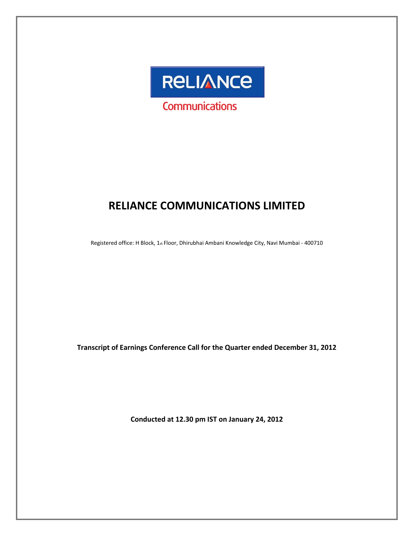

# **RELIANCE COMMUNICATIONS LIMITED**

Registered office: H Block, 1st Floor, Dhirubhai Ambani Knowledge City, Navi Mumbai ‐ 400710

**Transcript of Earnings Conference Call for the Quarter ended December 31, 2012**

**Conducted at 12.30 pm IST on January 24, 2012**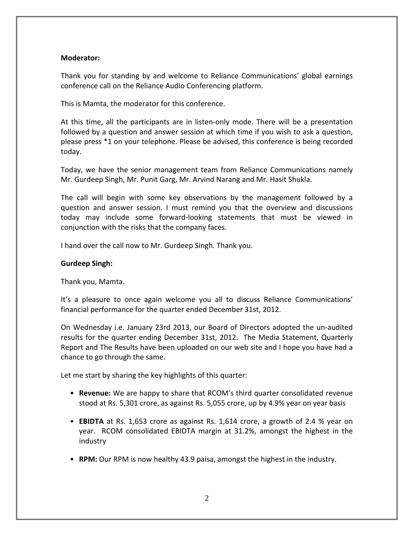# **Moderator:**

Thank you for standing by and welcome to Reliance Communications' global earnings conference call on the Reliance Audio Conferencing platform.

This is Mamta, the moderator for this conference.

At this time, all the participants are in listen-only mode. There will be a presentation followed by a question and answer session at which time if you wish to ask a question, please press \*1 on your telephone. Please be advised, this conference is being recorded today.

Today, we have the senior management team from Reliance Communications namely Mr. Gurdeep Singh, Mr. Punit Garg, Mr. Arvind Narang and Mr. Hasit Shukla.

The call will begin with some key observations by the management followed by a question and answer session. I must remind you that the overview and discussions today may include some forward‐looking statements that must be viewed in conjunction with the risks that the company faces.

I hand over the call now to Mr. Gurdeep Singh. Thank you.

# **Gurdeep Singh:**

Thank you, Mamta.

It's a pleasure to once again welcome you all to discuss Reliance Communications' financial performance for the quarter ended December 31st, 2012.

On Wednesday i.e. January 23rd 2013, our Board of Directors adopted the un‐audited results for the quarter ending December 31st, 2012. The Media Statement, Quarterly Report and The Results have been uploaded on our web site and I hope you have had a chance to go through the same.

Let me start by sharing the key highlights of this quarter:

- **Revenue:** We are happy to share that RCOM's third quarter consolidated revenue stood at Rs. 5,301 crore, as against Rs. 5,055 crore, up by 4.9% year on year basis
- **EBIDTA** at Rs. 1,653 crore as against Rs. 1,614 crore, a growth of 2.4 % year on year. RCOM consolidated EBIDTA margin at 31.2%, amongst the highest in the industry
- **RPM:** Our RPM is now healthy 43.9 paisa, amongst the highest in the industry.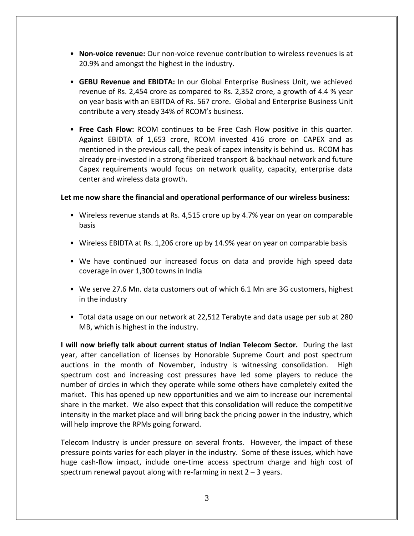- **Non‐voice revenue:** Our non‐voice revenue contribution to wireless revenues is at 20.9% and amongst the highest in the industry.
- **GEBU Revenue and EBIDTA:** In our Global Enterprise Business Unit, we achieved revenue of Rs. 2,454 crore as compared to Rs. 2,352 crore, a growth of 4.4 % year on year basis with an EBITDA of Rs. 567 crore. Global and Enterprise Business Unit contribute a very steady 34% of RCOM's business.
- **Free Cash Flow:** RCOM continues to be Free Cash Flow positive in this quarter. Against EBIDTA of 1,653 crore, RCOM invested 416 crore on CAPEX and as mentioned in the previous call, the peak of capex intensity is behind us. RCOM has already pre‐invested in a strong fiberized transport & backhaul network and future Capex requirements would focus on network quality, capacity, enterprise data center and wireless data growth.

# **Let me now share the financial and operational performance of our wireless business:**

- Wireless revenue stands at Rs. 4,515 crore up by 4.7% year on year on comparable basis
- Wireless EBIDTA at Rs. 1,206 crore up by 14.9% year on year on comparable basis
- We have continued our increased focus on data and provide high speed data coverage in over 1,300 towns in India
- We serve 27.6 Mn. data customers out of which 6.1 Mn are 3G customers, highest in the industry
- Total data usage on our network at 22,512 Terabyte and data usage per sub at 280 MB, which is highest in the industry.

**I will now briefly talk about current status of Indian Telecom Sector.** During the last year, after cancellation of licenses by Honorable Supreme Court and post spectrum auctions in the month of November, industry is witnessing consolidation. High spectrum cost and increasing cost pressures have led some players to reduce the number of circles in which they operate while some others have completely exited the market. This has opened up new opportunities and we aim to increase our incremental share in the market. We also expect that this consolidation will reduce the competitive intensity in the market place and will bring back the pricing power in the industry, which will help improve the RPMs going forward.

Telecom Industry is under pressure on several fronts. However, the impact of these pressure points varies for each player in the industry. Some of these issues, which have huge cash-flow impact, include one-time access spectrum charge and high cost of spectrum renewal payout along with re-farming in next  $2 - 3$  years.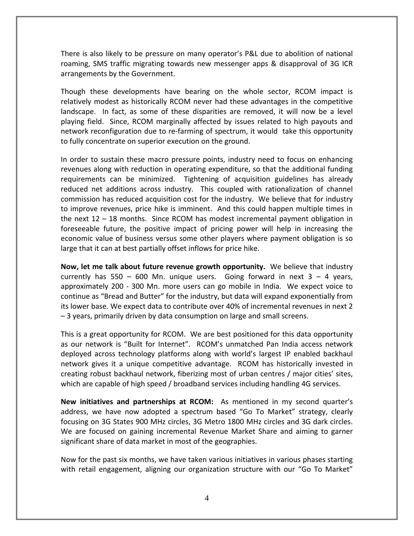There is also likely to be pressure on many operator's P&L due to abolition of national roaming, SMS traffic migrating towards new messenger apps & disapproval of 3G ICR arrangements by the Government.

Though these developments have bearing on the whole sector, RCOM impact is relatively modest as historically RCOM never had these advantages in the competitive landscape. In fact, as some of these disparities are removed, it will now be a level playing field. Since, RCOM marginally affected by issues related to high payouts and network reconfiguration due to re‐farming of spectrum, it would take this opportunity to fully concentrate on superior execution on the ground.

In order to sustain these macro pressure points, industry need to focus on enhancing revenues along with reduction in operating expenditure, so that the additional funding requirements can be minimized. Tightening of acquisition guidelines has already reduced net additions across industry. This coupled with rationalization of channel commission has reduced acquisition cost for the industry. We believe that for industry to improve revenues, price hike is imminent. And this could happen multiple times in the next 12 – 18 months. Since RCOM has modest incremental payment obligation in foreseeable future, the positive impact of pricing power will help in increasing the economic value of business versus some other players where payment obligation is so large that it can at best partially offset inflows for price hike.

**Now, let me talk about future revenue growth opportunity.** We believe that industry currently has  $550 - 600$  Mn. unique users. Going forward in next  $3 - 4$  years, approximately 200 ‐ 300 Mn. more users can go mobile in India. We expect voice to continue as "Bread and Butter" for the industry, but data will expand exponentially from its lower base. We expect data to contribute over 40% of incremental revenues in next 2 – 3 years, primarily driven by data consumption on large and small screens.

This is a great opportunity for RCOM. We are best positioned for this data opportunity as our network is "Built for Internet". RCOM's unmatched Pan India access network deployed across technology platforms along with world's largest IP enabled backhaul network gives it a unique competitive advantage. RCOM has historically invested in creating robust backhaul network, fiberizing most of urban centres / major cities' sites, which are capable of high speed / broadband services including handling 4G services.

**New initiatives and partnerships at RCOM:** As mentioned in my second quarter's address, we have now adopted a spectrum based "Go To Market" strategy, clearly focusing on 3G States 900 MHz circles, 3G Metro 1800 MHz circles and 3G dark circles. We are focused on gaining incremental Revenue Market Share and aiming to garner significant share of data market in most of the geographies.

Now for the past six months, we have taken various initiatives in various phases starting with retail engagement, aligning our organization structure with our "Go To Market"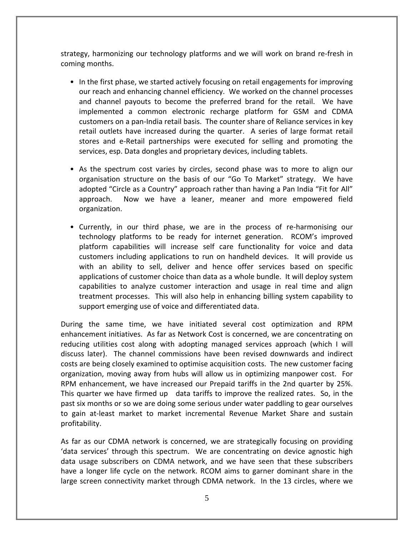strategy, harmonizing our technology platforms and we will work on brand re‐fresh in coming months.

- In the first phase, we started actively focusing on retail engagements for improving our reach and enhancing channel efficiency. We worked on the channel processes and channel payouts to become the preferred brand for the retail. We have implemented a common electronic recharge platform for GSM and CDMA customers on a pan‐India retail basis. The counter share of Reliance services in key retail outlets have increased during the quarter. A series of large format retail stores and e‐Retail partnerships were executed for selling and promoting the services, esp. Data dongles and proprietary devices, including tablets.
- As the spectrum cost varies by circles, second phase was to more to align our organisation structure on the basis of our "Go To Market" strategy. We have adopted "Circle as a Country" approach rather than having a Pan India "Fit for All" approach. Now we have a leaner, meaner and more empowered field organization.
- Currently, in our third phase, we are in the process of re-harmonising our technology platforms to be ready for internet generation. RCOM's improved platform capabilities will increase self care functionality for voice and data customers including applications to run on handheld devices. It will provide us with an ability to sell, deliver and hence offer services based on specific applications of customer choice than data as a whole bundle. It will deploy system capabilities to analyze customer interaction and usage in real time and align treatment processes. This will also help in enhancing billing system capability to support emerging use of voice and differentiated data.

During the same time, we have initiated several cost optimization and RPM enhancement initiatives. As far as Network Cost is concerned, we are concentrating on reducing utilities cost along with adopting managed services approach (which I will discuss later). The channel commissions have been revised downwards and indirect costs are being closely examined to optimise acquisition costs. The new customer facing organization, moving away from hubs will allow us in optimizing manpower cost. For RPM enhancement, we have increased our Prepaid tariffs in the 2nd quarter by 25%. This quarter we have firmed up data tariffs to improve the realized rates. So, in the past six months or so we are doing some serious under water paddling to gear ourselves to gain at‐least market to market incremental Revenue Market Share and sustain profitability.

As far as our CDMA network is concerned, we are strategically focusing on providing 'data services' through this spectrum. We are concentrating on device agnostic high data usage subscribers on CDMA network, and we have seen that these subscribers have a longer life cycle on the network. RCOM aims to garner dominant share in the large screen connectivity market through CDMA network. In the 13 circles, where we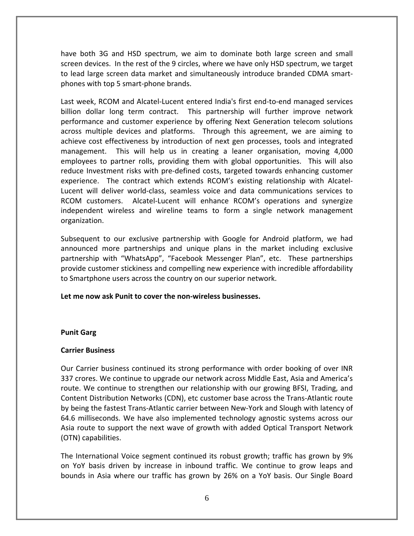have both 3G and HSD spectrum, we aim to dominate both large screen and small screen devices. In the rest of the 9 circles, where we have only HSD spectrum, we target to lead large screen data market and simultaneously introduce branded CDMA smart‐ phones with top 5 smart‐phone brands.

Last week, RCOM and Alcatel‐Lucent entered India's first end‐to‐end managed services billion dollar long term contract. This partnership will further improve network performance and customer experience by offering Next Generation telecom solutions across multiple devices and platforms. Through this agreement, we are aiming to achieve cost effectiveness by introduction of next gen processes, tools and integrated management. This will help us in creating a leaner organisation, moving 4,000 employees to partner rolls, providing them with global opportunities. This will also reduce Investment risks with pre-defined costs, targeted towards enhancing customer experience. The contract which extends RCOM's existing relationship with Alcatel-Lucent will deliver world‐class, seamless voice and data communications services to RCOM customers. Alcatel‐Lucent will enhance RCOM's operations and synergize independent wireless and wireline teams to form a single network management organization.

Subsequent to our exclusive partnership with Google for Android platform, we had announced more partnerships and unique plans in the market including exclusive partnership with "WhatsApp", "Facebook Messenger Plan", etc. These partnerships provide customer stickiness and compelling new experience with incredible affordability to Smartphone users across the country on our superior network.

# **Let me now ask Punit to cover the non‐wireless businesses.**

# **Punit Garg**

# **Carrier Business**

Our Carrier business continued its strong performance with order booking of over INR 337 crores. We continue to upgrade our network across Middle East, Asia and America's route. We continue to strengthen our relationship with our growing BFSI, Trading, and Content Distribution Networks (CDN), etc customer base across the Trans‐Atlantic route by being the fastest Trans‐Atlantic carrier between New‐York and Slough with latency of 64.6 milliseconds. We have also implemented technology agnostic systems across our Asia route to support the next wave of growth with added Optical Transport Network (OTN) capabilities.

The International Voice segment continued its robust growth; traffic has grown by 9% on YoY basis driven by increase in inbound traffic. We continue to grow leaps and bounds in Asia where our traffic has grown by 26% on a YoY basis. Our Single Board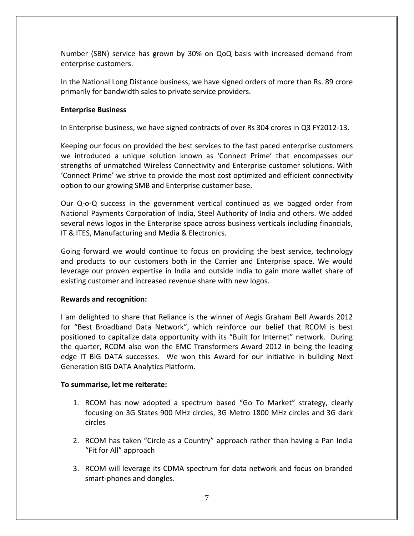Number (SBN) service has grown by 30% on QoQ basis with increased demand from enterprise customers.

In the National Long Distance business, we have signed orders of more than Rs. 89 crore primarily for bandwidth sales to private service providers.

# **Enterprise Business**

In Enterprise business, we have signed contracts of over Rs 304 crores in Q3 FY2012‐13.

Keeping our focus on provided the best services to the fast paced enterprise customers we introduced a unique solution known as 'Connect Prime' that encompasses our strengths of unmatched Wireless Connectivity and Enterprise customer solutions. With 'Connect Prime' we strive to provide the most cost optimized and efficient connectivity option to our growing SMB and Enterprise customer base.

Our Q‐o‐Q success in the government vertical continued as we bagged order from National Payments Corporation of India, Steel Authority of India and others. We added several news logos in the Enterprise space across business verticals including financials, IT & ITES, Manufacturing and Media & Electronics.

Going forward we would continue to focus on providing the best service, technology and products to our customers both in the Carrier and Enterprise space. We would leverage our proven expertise in India and outside India to gain more wallet share of existing customer and increased revenue share with new logos.

# **Rewards and recognition:**

I am delighted to share that Reliance is the winner of Aegis Graham Bell Awards 2012 for "Best Broadband Data Network", which reinforce our belief that RCOM is best positioned to capitalize data opportunity with its "Built for Internet" network. During the quarter, RCOM also won the EMC Transformers Award 2012 in being the leading edge IT BIG DATA successes. We won this Award for our initiative in building Next Generation BIG DATA Analytics Platform.

# **To summarise, let me reiterate:**

- 1. RCOM has now adopted a spectrum based "Go To Market" strategy, clearly focusing on 3G States 900 MHz circles, 3G Metro 1800 MHz circles and 3G dark circles
- 2. RCOM has taken "Circle as a Country" approach rather than having a Pan India "Fit for All" approach
- 3. RCOM will leverage its CDMA spectrum for data network and focus on branded smart‐phones and dongles.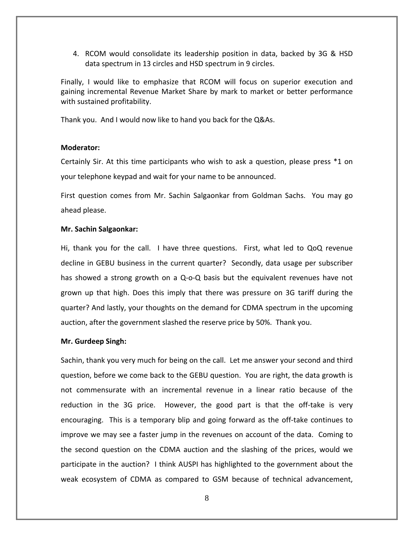4. RCOM would consolidate its leadership position in data, backed by 3G & HSD data spectrum in 13 circles and HSD spectrum in 9 circles.

Finally, I would like to emphasize that RCOM will focus on superior execution and gaining incremental Revenue Market Share by mark to market or better performance with sustained profitability.

Thank you. And I would now like to hand you back for the Q&As.

# **Moderator:**

Certainly Sir. At this time participants who wish to ask a question, please press \*1 on your telephone keypad and wait for your name to be announced.

First question comes from Mr. Sachin Salgaonkar from Goldman Sachs. You may go ahead please.

# **Mr. Sachin Salgaonkar:**

Hi, thank you for the call. I have three questions. First, what led to QoQ revenue decline in GEBU business in the current quarter? Secondly, data usage per subscriber has showed a strong growth on a Q-o-Q basis but the equivalent revenues have not grown up that high. Does this imply that there was pressure on 3G tariff during the quarter? And lastly, your thoughts on the demand for CDMA spectrum in the upcoming auction, after the government slashed the reserve price by 50%. Thank you.

#### **Mr. Gurdeep Singh:**

Sachin, thank you very much for being on the call. Let me answer your second and third question, before we come back to the GEBU question. You are right, the data growth is not commensurate with an incremental revenue in a linear ratio because of the reduction in the 3G price. However, the good part is that the off-take is very encouraging. This is a temporary blip and going forward as the off-take continues to improve we may see a faster jump in the revenues on account of the data. Coming to the second question on the CDMA auction and the slashing of the prices, would we participate in the auction? I think AUSPI has highlighted to the government about the weak ecosystem of CDMA as compared to GSM because of technical advancement,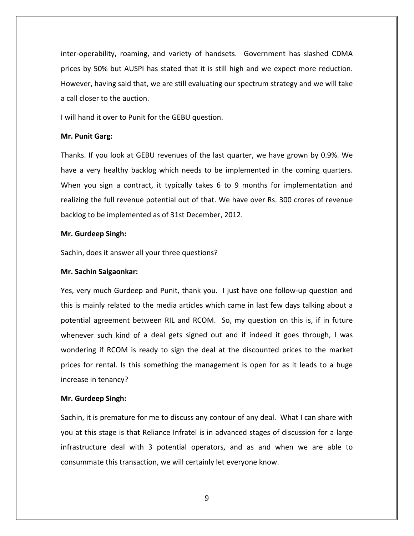inter‐operability, roaming, and variety of handsets. Government has slashed CDMA prices by 50% but AUSPI has stated that it is still high and we expect more reduction. However, having said that, we are still evaluating our spectrum strategy and we will take a call closer to the auction.

I will hand it over to Punit for the GEBU question.

### **Mr. Punit Garg:**

Thanks. If you look at GEBU revenues of the last quarter, we have grown by 0.9%. We have a very healthy backlog which needs to be implemented in the coming quarters. When you sign a contract, it typically takes 6 to 9 months for implementation and realizing the full revenue potential out of that. We have over Rs. 300 crores of revenue backlog to be implemented as of 31st December, 2012.

# **Mr. Gurdeep Singh:**

Sachin, does it answer all your three questions?

#### **Mr. Sachin Salgaonkar:**

Yes, very much Gurdeep and Punit, thank you. I just have one follow‐up question and this is mainly related to the media articles which came in last few days talking about a potential agreement between RIL and RCOM. So, my question on this is, if in future whenever such kind of a deal gets signed out and if indeed it goes through, I was wondering if RCOM is ready to sign the deal at the discounted prices to the market prices for rental. Is this something the management is open for as it leads to a huge increase in tenancy?

#### **Mr. Gurdeep Singh:**

Sachin, it is premature for me to discuss any contour of any deal. What I can share with you at this stage is that Reliance Infratel is in advanced stages of discussion for a large infrastructure deal with 3 potential operators, and as and when we are able to consummate this transaction, we will certainly let everyone know.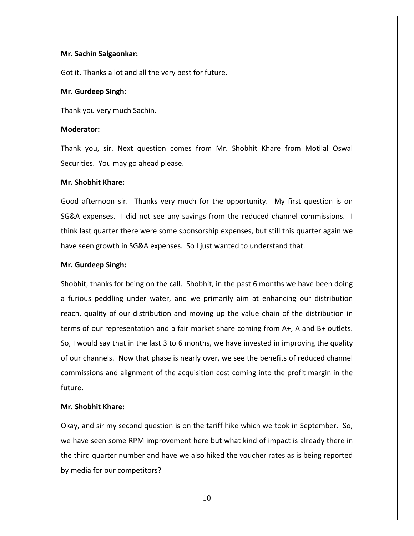# **Mr. Sachin Salgaonkar:**

Got it. Thanks a lot and all the very best for future.

#### **Mr. Gurdeep Singh:**

Thank you very much Sachin.

#### **Moderator:**

Thank you, sir. Next question comes from Mr. Shobhit Khare from Motilal Oswal Securities. You may go ahead please.

# **Mr. Shobhit Khare:**

Good afternoon sir. Thanks very much for the opportunity. My first question is on SG&A expenses. I did not see any savings from the reduced channel commissions. I think last quarter there were some sponsorship expenses, but still this quarter again we have seen growth in SG&A expenses. So I just wanted to understand that.

# **Mr. Gurdeep Singh:**

Shobhit, thanks for being on the call. Shobhit, in the past 6 months we have been doing a furious peddling under water, and we primarily aim at enhancing our distribution reach, quality of our distribution and moving up the value chain of the distribution in terms of our representation and a fair market share coming from A+, A and B+ outlets. So, I would say that in the last 3 to 6 months, we have invested in improving the quality of our channels. Now that phase is nearly over, we see the benefits of reduced channel commissions and alignment of the acquisition cost coming into the profit margin in the future.

#### **Mr. Shobhit Khare:**

Okay, and sir my second question is on the tariff hike which we took in September. So, we have seen some RPM improvement here but what kind of impact is already there in the third quarter number and have we also hiked the voucher rates as is being reported by media for our competitors?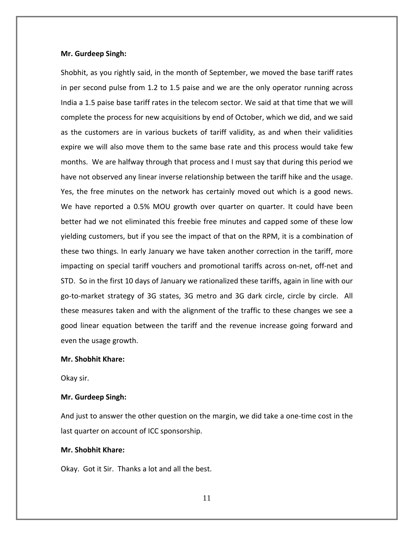#### **Mr. Gurdeep Singh:**

Shobhit, as you rightly said, in the month of September, we moved the base tariff rates in per second pulse from 1.2 to 1.5 paise and we are the only operator running across India a 1.5 paise base tariff rates in the telecom sector. We said at that time that we will complete the process for new acquisitions by end of October, which we did, and we said as the customers are in various buckets of tariff validity, as and when their validities expire we will also move them to the same base rate and this process would take few months. We are halfway through that process and I must say that during this period we have not observed any linear inverse relationship between the tariff hike and the usage. Yes, the free minutes on the network has certainly moved out which is a good news. We have reported a 0.5% MOU growth over quarter on quarter. It could have been better had we not eliminated this freebie free minutes and capped some of these low yielding customers, but if you see the impact of that on the RPM, it is a combination of these two things. In early January we have taken another correction in the tariff, more impacting on special tariff vouchers and promotional tariffs across on‐net, off‐net and STD. So in the first 10 days of January we rationalized these tariffs, again in line with our go‐to‐market strategy of 3G states, 3G metro and 3G dark circle, circle by circle. All these measures taken and with the alignment of the traffic to these changes we see a good linear equation between the tariff and the revenue increase going forward and even the usage growth.

# **Mr. Shobhit Khare:**

Okay sir.

#### **Mr. Gurdeep Singh:**

And just to answer the other question on the margin, we did take a one‐time cost in the last quarter on account of ICC sponsorship.

# **Mr. Shobhit Khare:**

Okay. Got it Sir. Thanks a lot and all the best.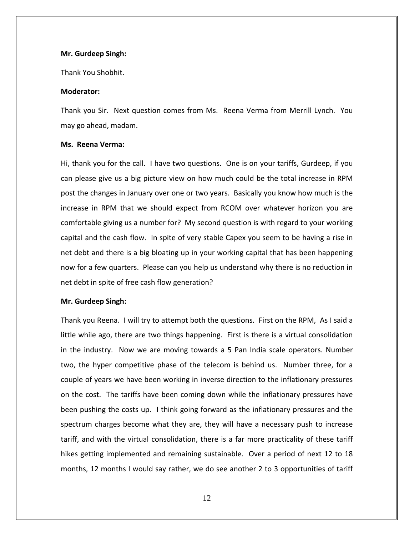#### **Mr. Gurdeep Singh:**

Thank You Shobhit.

# **Moderator:**

Thank you Sir. Next question comes from Ms. Reena Verma from Merrill Lynch. You may go ahead, madam.

# **Ms. Reena Verma:**

Hi, thank you for the call. I have two questions. One is on your tariffs, Gurdeep, if you can please give us a big picture view on how much could be the total increase in RPM post the changes in January over one or two years. Basically you know how much is the increase in RPM that we should expect from RCOM over whatever horizon you are comfortable giving us a number for? My second question is with regard to your working capital and the cash flow. In spite of very stable Capex you seem to be having a rise in net debt and there is a big bloating up in your working capital that has been happening now for a few quarters. Please can you help us understand why there is no reduction in net debt in spite of free cash flow generation?

# **Mr. Gurdeep Singh:**

Thank you Reena. I will try to attempt both the questions. First on the RPM, As I said a little while ago, there are two things happening. First is there is a virtual consolidation in the industry. Now we are moving towards a 5 Pan India scale operators. Number two, the hyper competitive phase of the telecom is behind us. Number three, for a couple of years we have been working in inverse direction to the inflationary pressures on the cost. The tariffs have been coming down while the inflationary pressures have been pushing the costs up. I think going forward as the inflationary pressures and the spectrum charges become what they are, they will have a necessary push to increase tariff, and with the virtual consolidation, there is a far more practicality of these tariff hikes getting implemented and remaining sustainable. Over a period of next 12 to 18 months, 12 months I would say rather, we do see another 2 to 3 opportunities of tariff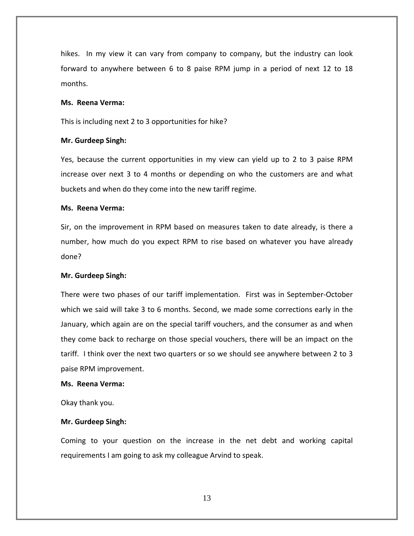hikes. In my view it can vary from company to company, but the industry can look forward to anywhere between 6 to 8 paise RPM jump in a period of next 12 to 18 months.

# **Ms. Reena Verma:**

This is including next 2 to 3 opportunities for hike?

#### **Mr. Gurdeep Singh:**

Yes, because the current opportunities in my view can yield up to 2 to 3 paise RPM increase over next 3 to 4 months or depending on who the customers are and what buckets and when do they come into the new tariff regime.

## **Ms. Reena Verma:**

Sir, on the improvement in RPM based on measures taken to date already, is there a number, how much do you expect RPM to rise based on whatever you have already done?

#### **Mr. Gurdeep Singh:**

There were two phases of our tariff implementation. First was in September‐October which we said will take 3 to 6 months. Second, we made some corrections early in the January, which again are on the special tariff vouchers, and the consumer as and when they come back to recharge on those special vouchers, there will be an impact on the tariff. I think over the next two quarters or so we should see anywhere between 2 to 3 paise RPM improvement.

#### **Ms. Reena Verma:**

Okay thank you.

#### **Mr. Gurdeep Singh:**

Coming to your question on the increase in the net debt and working capital requirements I am going to ask my colleague Arvind to speak.

13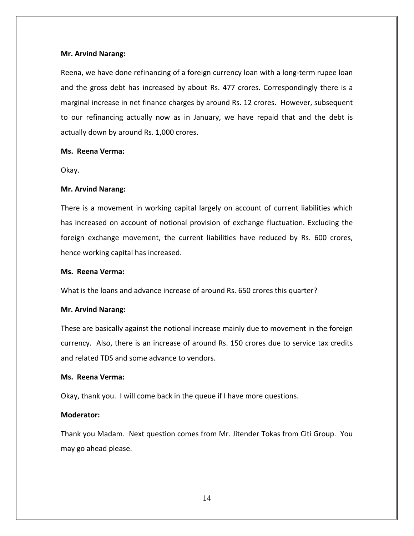# **Mr. Arvind Narang:**

Reena, we have done refinancing of a foreign currency loan with a long‐term rupee loan and the gross debt has increased by about Rs. 477 crores. Correspondingly there is a marginal increase in net finance charges by around Rs. 12 crores. However, subsequent to our refinancing actually now as in January, we have repaid that and the debt is actually down by around Rs. 1,000 crores.

# **Ms. Reena Verma:**

Okay.

# **Mr. Arvind Narang:**

There is a movement in working capital largely on account of current liabilities which has increased on account of notional provision of exchange fluctuation. Excluding the foreign exchange movement, the current liabilities have reduced by Rs. 600 crores, hence working capital has increased.

# **Ms. Reena Verma:**

What is the loans and advance increase of around Rs. 650 crores this quarter?

#### **Mr. Arvind Narang:**

These are basically against the notional increase mainly due to movement in the foreign currency. Also, there is an increase of around Rs. 150 crores due to service tax credits and related TDS and some advance to vendors.

#### **Ms. Reena Verma:**

Okay, thank you. I will come back in the queue if I have more questions.

# **Moderator:**

Thank you Madam. Next question comes from Mr. Jitender Tokas from Citi Group. You may go ahead please.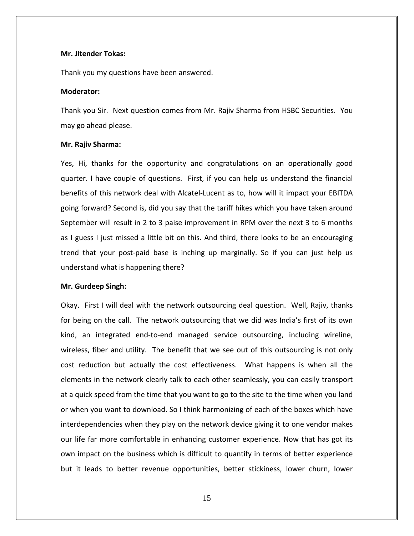#### **Mr. Jitender Tokas:**

Thank you my questions have been answered.

#### **Moderator:**

Thank you Sir. Next question comes from Mr. Rajiv Sharma from HSBC Securities. You may go ahead please.

#### **Mr. Rajiv Sharma:**

Yes, Hi, thanks for the opportunity and congratulations on an operationally good quarter. I have couple of questions. First, if you can help us understand the financial benefits of this network deal with Alcatel‐Lucent as to, how will it impact your EBITDA going forward? Second is, did you say that the tariff hikes which you have taken around September will result in 2 to 3 paise improvement in RPM over the next 3 to 6 months as I guess I just missed a little bit on this. And third, there looks to be an encouraging trend that your post‐paid base is inching up marginally. So if you can just help us understand what is happening there?

#### **Mr. Gurdeep Singh:**

Okay. First I will deal with the network outsourcing deal question. Well, Rajiv, thanks for being on the call. The network outsourcing that we did was India's first of its own kind, an integrated end-to-end managed service outsourcing, including wireline, wireless, fiber and utility. The benefit that we see out of this outsourcing is not only cost reduction but actually the cost effectiveness. What happens is when all the elements in the network clearly talk to each other seamlessly, you can easily transport at a quick speed from the time that you want to go to the site to the time when you land or when you want to download. So I think harmonizing of each of the boxes which have interdependencies when they play on the network device giving it to one vendor makes our life far more comfortable in enhancing customer experience. Now that has got its own impact on the business which is difficult to quantify in terms of better experience but it leads to better revenue opportunities, better stickiness, lower churn, lower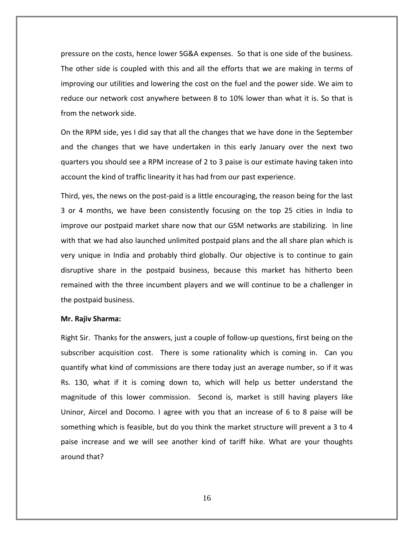pressure on the costs, hence lower SG&A expenses. So that is one side of the business. The other side is coupled with this and all the efforts that we are making in terms of improving our utilities and lowering the cost on the fuel and the power side. We aim to reduce our network cost anywhere between 8 to 10% lower than what it is. So that is from the network side.

On the RPM side, yes I did say that all the changes that we have done in the September and the changes that we have undertaken in this early January over the next two quarters you should see a RPM increase of 2 to 3 paise is our estimate having taken into account the kind of traffic linearity it has had from our past experience.

Third, yes, the news on the post‐paid is a little encouraging, the reason being for the last 3 or 4 months, we have been consistently focusing on the top 25 cities in India to improve our postpaid market share now that our GSM networks are stabilizing. In line with that we had also launched unlimited postpaid plans and the all share plan which is very unique in India and probably third globally. Our objective is to continue to gain disruptive share in the postpaid business, because this market has hitherto been remained with the three incumbent players and we will continue to be a challenger in the postpaid business.

#### **Mr. Rajiv Sharma:**

Right Sir. Thanks for the answers, just a couple of follow‐up questions, first being on the subscriber acquisition cost. There is some rationality which is coming in. Can you quantify what kind of commissions are there today just an average number, so if it was Rs. 130, what if it is coming down to, which will help us better understand the magnitude of this lower commission. Second is, market is still having players like Uninor, Aircel and Docomo. I agree with you that an increase of 6 to 8 paise will be something which is feasible, but do you think the market structure will prevent a 3 to 4 paise increase and we will see another kind of tariff hike. What are your thoughts around that?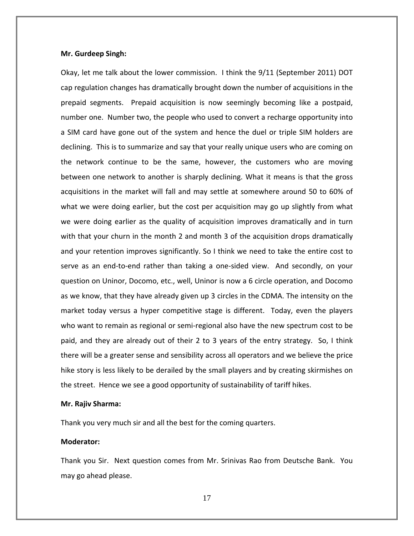#### **Mr. Gurdeep Singh:**

Okay, let me talk about the lower commission. I think the 9/11 (September 2011) DOT cap regulation changes has dramatically brought down the number of acquisitions in the prepaid segments. Prepaid acquisition is now seemingly becoming like a postpaid, number one. Number two, the people who used to convert a recharge opportunity into a SIM card have gone out of the system and hence the duel or triple SIM holders are declining. This is to summarize and say that your really unique users who are coming on the network continue to be the same, however, the customers who are moving between one network to another is sharply declining. What it means is that the gross acquisitions in the market will fall and may settle at somewhere around 50 to 60% of what we were doing earlier, but the cost per acquisition may go up slightly from what we were doing earlier as the quality of acquisition improves dramatically and in turn with that your churn in the month 2 and month 3 of the acquisition drops dramatically and your retention improves significantly. So I think we need to take the entire cost to serve as an end-to-end rather than taking a one-sided view. And secondly, on your question on Uninor, Docomo, etc., well, Uninor is now a 6 circle operation, and Docomo as we know, that they have already given up 3 circles in the CDMA. The intensity on the market today versus a hyper competitive stage is different. Today, even the players who want to remain as regional or semi-regional also have the new spectrum cost to be paid, and they are already out of their 2 to 3 years of the entry strategy. So, I think there will be a greater sense and sensibility across all operators and we believe the price hike story is less likely to be derailed by the small players and by creating skirmishes on the street. Hence we see a good opportunity of sustainability of tariff hikes.

#### **Mr. Rajiv Sharma:**

Thank you very much sir and all the best for the coming quarters.

#### **Moderator:**

Thank you Sir. Next question comes from Mr. Srinivas Rao from Deutsche Bank. You may go ahead please.

17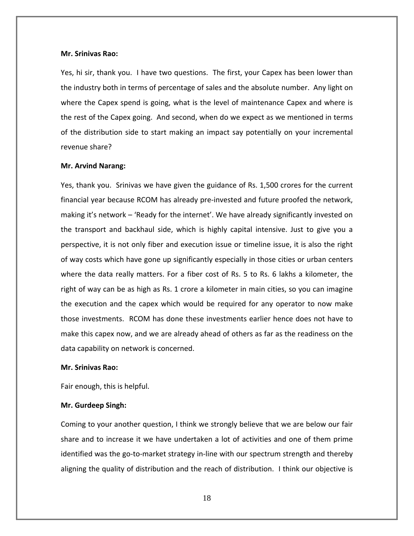#### **Mr. Srinivas Rao:**

Yes, hi sir, thank you. I have two questions. The first, your Capex has been lower than the industry both in terms of percentage of sales and the absolute number. Any light on where the Capex spend is going, what is the level of maintenance Capex and where is the rest of the Capex going. And second, when do we expect as we mentioned in terms of the distribution side to start making an impact say potentially on your incremental revenue share?

#### **Mr. Arvind Narang:**

Yes, thank you. Srinivas we have given the guidance of Rs. 1,500 crores for the current financial year because RCOM has already pre‐invested and future proofed the network, making it's network – 'Ready for the internet'. We have already significantly invested on the transport and backhaul side, which is highly capital intensive. Just to give you a perspective, it is not only fiber and execution issue or timeline issue, it is also the right of way costs which have gone up significantly especially in those cities or urban centers where the data really matters. For a fiber cost of Rs. 5 to Rs. 6 lakhs a kilometer, the right of way can be as high as Rs. 1 crore a kilometer in main cities, so you can imagine the execution and the capex which would be required for any operator to now make those investments. RCOM has done these investments earlier hence does not have to make this capex now, and we are already ahead of others as far as the readiness on the data capability on network is concerned.

#### **Mr. Srinivas Rao:**

Fair enough, this is helpful.

#### **Mr. Gurdeep Singh:**

Coming to your another question, I think we strongly believe that we are below our fair share and to increase it we have undertaken a lot of activities and one of them prime identified was the go-to-market strategy in-line with our spectrum strength and thereby aligning the quality of distribution and the reach of distribution. I think our objective is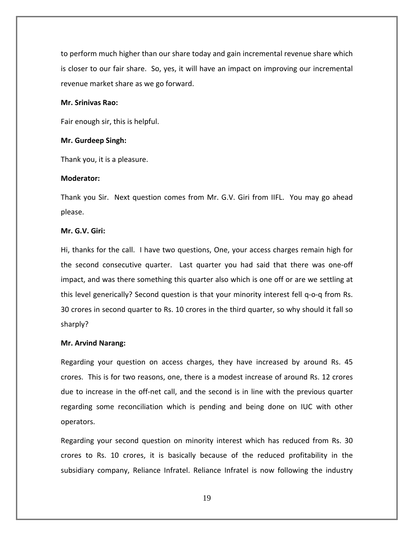to perform much higher than our share today and gain incremental revenue share which is closer to our fair share. So, yes, it will have an impact on improving our incremental revenue market share as we go forward.

# **Mr. Srinivas Rao:**

Fair enough sir, this is helpful.

#### **Mr. Gurdeep Singh:**

Thank you, it is a pleasure.

#### **Moderator:**

Thank you Sir. Next question comes from Mr. G.V. Giri from IIFL. You may go ahead please.

# **Mr. G.V. Giri:**

Hi, thanks for the call. I have two questions, One, your access charges remain high for the second consecutive quarter. Last quarter you had said that there was one‐off impact, and was there something this quarter also which is one off or are we settling at this level generically? Second question is that your minority interest fell q‐o‐q from Rs. 30 crores in second quarter to Rs. 10 crores in the third quarter, so why should it fall so sharply?

#### **Mr. Arvind Narang:**

Regarding your question on access charges, they have increased by around Rs. 45 crores. This is for two reasons, one, there is a modest increase of around Rs. 12 crores due to increase in the off‐net call, and the second is in line with the previous quarter regarding some reconciliation which is pending and being done on IUC with other operators.

Regarding your second question on minority interest which has reduced from Rs. 30 crores to Rs. 10 crores, it is basically because of the reduced profitability in the subsidiary company, Reliance Infratel. Reliance Infratel is now following the industry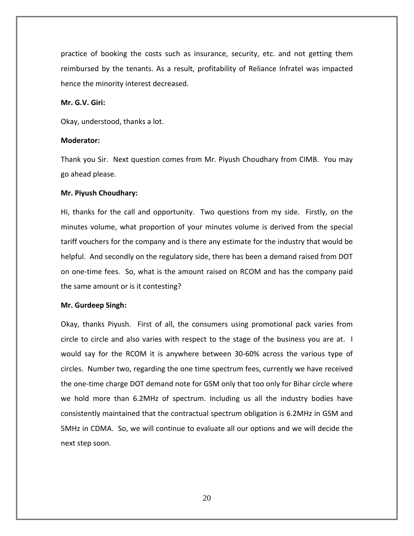practice of booking the costs such as insurance, security, etc. and not getting them reimbursed by the tenants. As a result, profitability of Reliance Infratel was impacted hence the minority interest decreased.

# **Mr. G.V. Giri:**

Okay, understood, thanks a lot.

# **Moderator:**

Thank you Sir. Next question comes from Mr. Piyush Choudhary from CIMB. You may go ahead please.

# **Mr. Piyush Choudhary:**

Hi, thanks for the call and opportunity. Two questions from my side. Firstly, on the minutes volume, what proportion of your minutes volume is derived from the special tariff vouchers for the company and is there any estimate for the industry that would be helpful. And secondly on the regulatory side, there has been a demand raised from DOT on one‐time fees. So, what is the amount raised on RCOM and has the company paid the same amount or is it contesting?

#### **Mr. Gurdeep Singh:**

Okay, thanks Piyush. First of all, the consumers using promotional pack varies from circle to circle and also varies with respect to the stage of the business you are at. I would say for the RCOM it is anywhere between 30‐60% across the various type of circles. Number two, regarding the one time spectrum fees, currently we have received the one‐time charge DOT demand note for GSM only that too only for Bihar circle where we hold more than 6.2MHz of spectrum. Including us all the industry bodies have consistently maintained that the contractual spectrum obligation is 6.2MHz in GSM and 5MHz in CDMA. So, we will continue to evaluate all our options and we will decide the next step soon.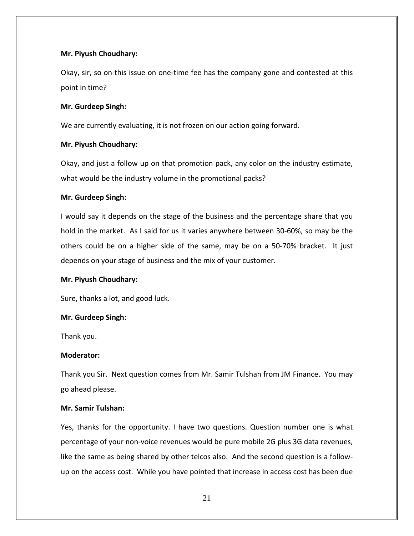# **Mr. Piyush Choudhary:**

Okay, sir, so on this issue on one‐time fee has the company gone and contested at this point in time?

# **Mr. Gurdeep Singh:**

We are currently evaluating, it is not frozen on our action going forward.

# **Mr. Piyush Choudhary:**

Okay, and just a follow up on that promotion pack, any color on the industry estimate, what would be the industry volume in the promotional packs?

# **Mr. Gurdeep Singh:**

I would say it depends on the stage of the business and the percentage share that you hold in the market. As I said for us it varies anywhere between 30‐60%, so may be the others could be on a higher side of the same, may be on a 50‐70% bracket. It just depends on your stage of business and the mix of your customer.

# **Mr. Piyush Choudhary:**

Sure, thanks a lot, and good luck.

# **Mr. Gurdeep Singh:**

Thank you.

# **Moderator:**

Thank you Sir. Next question comes from Mr. Samir Tulshan from JM Finance. You may go ahead please.

# **Mr. Samir Tulshan:**

Yes, thanks for the opportunity. I have two questions. Question number one is what percentage of your non‐voice revenues would be pure mobile 2G plus 3G data revenues, like the same as being shared by other telcos also. And the second question is a follow‐ up on the access cost. While you have pointed that increase in access cost has been due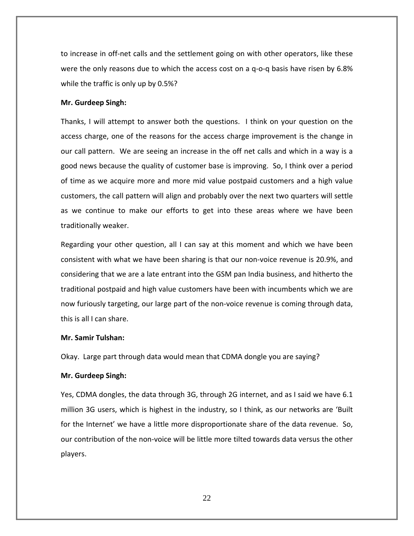to increase in off‐net calls and the settlement going on with other operators, like these were the only reasons due to which the access cost on a q-o-q basis have risen by 6.8% while the traffic is only up by 0.5%?

# **Mr. Gurdeep Singh:**

Thanks, I will attempt to answer both the questions. I think on your question on the access charge, one of the reasons for the access charge improvement is the change in our call pattern. We are seeing an increase in the off net calls and which in a way is a good news because the quality of customer base is improving. So, I think over a period of time as we acquire more and more mid value postpaid customers and a high value customers, the call pattern will align and probably over the next two quarters will settle as we continue to make our efforts to get into these areas where we have been traditionally weaker.

Regarding your other question, all I can say at this moment and which we have been consistent with what we have been sharing is that our non‐voice revenue is 20.9%, and considering that we are a late entrant into the GSM pan India business, and hitherto the traditional postpaid and high value customers have been with incumbents which we are now furiously targeting, our large part of the non‐voice revenue is coming through data, this is all I can share.

#### **Mr. Samir Tulshan:**

Okay. Large part through data would mean that CDMA dongle you are saying?

#### **Mr. Gurdeep Singh:**

Yes, CDMA dongles, the data through 3G, through 2G internet, and as I said we have 6.1 million 3G users, which is highest in the industry, so I think, as our networks are 'Built for the Internet' we have a little more disproportionate share of the data revenue. So, our contribution of the non‐voice will be little more tilted towards data versus the other players.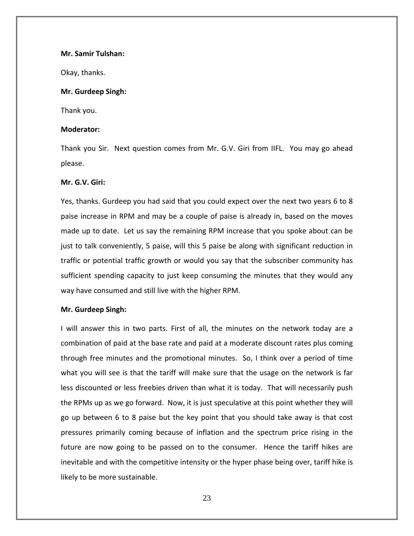#### **Mr. Samir Tulshan:**

Okay, thanks.

# **Mr. Gurdeep Singh:**

Thank you.

# **Moderator:**

Thank you Sir. Next question comes from Mr. G.V. Giri from IIFL. You may go ahead please.

# **Mr. G.V. Giri:**

Yes, thanks. Gurdeep you had said that you could expect over the next two years 6 to 8 paise increase in RPM and may be a couple of paise is already in, based on the moves made up to date. Let us say the remaining RPM increase that you spoke about can be just to talk conveniently, 5 paise, will this 5 paise be along with significant reduction in traffic or potential traffic growth or would you say that the subscriber community has sufficient spending capacity to just keep consuming the minutes that they would any way have consumed and still live with the higher RPM.

# **Mr. Gurdeep Singh:**

I will answer this in two parts. First of all, the minutes on the network today are a combination of paid at the base rate and paid at a moderate discount rates plus coming through free minutes and the promotional minutes. So, I think over a period of time what you will see is that the tariff will make sure that the usage on the network is far less discounted or less freebies driven than what it is today. That will necessarily push the RPMs up as we go forward. Now, it is just speculative at this point whether they will go up between 6 to 8 paise but the key point that you should take away is that cost pressures primarily coming because of inflation and the spectrum price rising in the future are now going to be passed on to the consumer. Hence the tariff hikes are inevitable and with the competitive intensity or the hyper phase being over, tariff hike is likely to be more sustainable.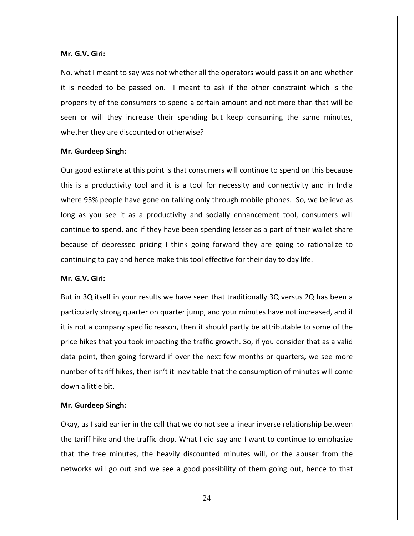#### **Mr. G.V. Giri:**

No, what I meant to say was not whether all the operators would pass it on and whether it is needed to be passed on. I meant to ask if the other constraint which is the propensity of the consumers to spend a certain amount and not more than that will be seen or will they increase their spending but keep consuming the same minutes, whether they are discounted or otherwise?

#### **Mr. Gurdeep Singh:**

Our good estimate at this point is that consumers will continue to spend on this because this is a productivity tool and it is a tool for necessity and connectivity and in India where 95% people have gone on talking only through mobile phones. So, we believe as long as you see it as a productivity and socially enhancement tool, consumers will continue to spend, and if they have been spending lesser as a part of their wallet share because of depressed pricing I think going forward they are going to rationalize to continuing to pay and hence make this tool effective for their day to day life.

### **Mr. G.V. Giri:**

But in 3Q itself in your results we have seen that traditionally 3Q versus 2Q has been a particularly strong quarter on quarter jump, and your minutes have not increased, and if it is not a company specific reason, then it should partly be attributable to some of the price hikes that you took impacting the traffic growth. So, if you consider that as a valid data point, then going forward if over the next few months or quarters, we see more number of tariff hikes, then isn't it inevitable that the consumption of minutes will come down a little bit.

#### **Mr. Gurdeep Singh:**

Okay, as I said earlier in the call that we do not see a linear inverse relationship between the tariff hike and the traffic drop. What I did say and I want to continue to emphasize that the free minutes, the heavily discounted minutes will, or the abuser from the networks will go out and we see a good possibility of them going out, hence to that

24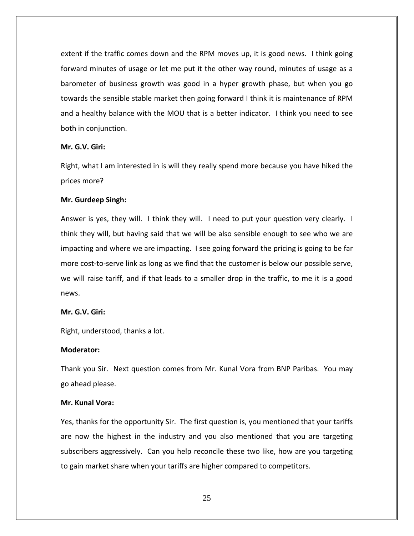extent if the traffic comes down and the RPM moves up, it is good news. I think going forward minutes of usage or let me put it the other way round, minutes of usage as a barometer of business growth was good in a hyper growth phase, but when you go towards the sensible stable market then going forward I think it is maintenance of RPM and a healthy balance with the MOU that is a better indicator. I think you need to see both in conjunction.

# **Mr. G.V. Giri:**

Right, what I am interested in is will they really spend more because you have hiked the prices more?

#### **Mr. Gurdeep Singh:**

Answer is yes, they will. I think they will. I need to put your question very clearly. I think they will, but having said that we will be also sensible enough to see who we are impacting and where we are impacting. I see going forward the pricing is going to be far more cost-to-serve link as long as we find that the customer is below our possible serve, we will raise tariff, and if that leads to a smaller drop in the traffic, to me it is a good news.

# **Mr. G.V. Giri:**

Right, understood, thanks a lot.

# **Moderator:**

Thank you Sir. Next question comes from Mr. Kunal Vora from BNP Paribas. You may go ahead please.

# **Mr. Kunal Vora:**

Yes, thanks for the opportunity Sir. The first question is, you mentioned that your tariffs are now the highest in the industry and you also mentioned that you are targeting subscribers aggressively. Can you help reconcile these two like, how are you targeting to gain market share when your tariffs are higher compared to competitors.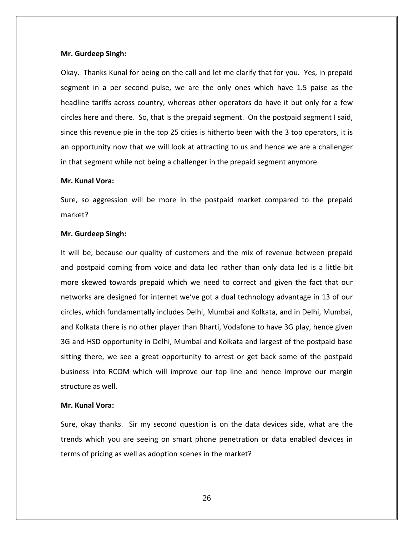#### **Mr. Gurdeep Singh:**

Okay. Thanks Kunal for being on the call and let me clarify that for you. Yes, in prepaid segment in a per second pulse, we are the only ones which have 1.5 paise as the headline tariffs across country, whereas other operators do have it but only for a few circles here and there. So, that is the prepaid segment. On the postpaid segment I said, since this revenue pie in the top 25 cities is hitherto been with the 3 top operators, it is an opportunity now that we will look at attracting to us and hence we are a challenger in that segment while not being a challenger in the prepaid segment anymore.

# **Mr. Kunal Vora:**

Sure, so aggression will be more in the postpaid market compared to the prepaid market?

#### **Mr. Gurdeep Singh:**

It will be, because our quality of customers and the mix of revenue between prepaid and postpaid coming from voice and data led rather than only data led is a little bit more skewed towards prepaid which we need to correct and given the fact that our networks are designed for internet we've got a dual technology advantage in 13 of our circles, which fundamentally includes Delhi, Mumbai and Kolkata, and in Delhi, Mumbai, and Kolkata there is no other player than Bharti, Vodafone to have 3G play, hence given 3G and HSD opportunity in Delhi, Mumbai and Kolkata and largest of the postpaid base sitting there, we see a great opportunity to arrest or get back some of the postpaid business into RCOM which will improve our top line and hence improve our margin structure as well.

# **Mr. Kunal Vora:**

Sure, okay thanks. Sir my second question is on the data devices side, what are the trends which you are seeing on smart phone penetration or data enabled devices in terms of pricing as well as adoption scenes in the market?

26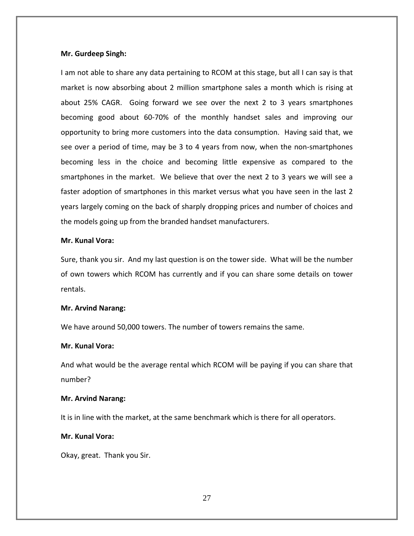#### **Mr. Gurdeep Singh:**

I am not able to share any data pertaining to RCOM at this stage, but all I can say is that market is now absorbing about 2 million smartphone sales a month which is rising at about 25% CAGR. Going forward we see over the next 2 to 3 years smartphones becoming good about 60‐70% of the monthly handset sales and improving our opportunity to bring more customers into the data consumption. Having said that, we see over a period of time, may be 3 to 4 years from now, when the non-smartphones becoming less in the choice and becoming little expensive as compared to the smartphones in the market. We believe that over the next 2 to 3 years we will see a faster adoption of smartphones in this market versus what you have seen in the last 2 years largely coming on the back of sharply dropping prices and number of choices and the models going up from the branded handset manufacturers.

#### **Mr. Kunal Vora:**

Sure, thank you sir. And my last question is on the tower side. What will be the number of own towers which RCOM has currently and if you can share some details on tower rentals.

#### **Mr. Arvind Narang:**

We have around 50,000 towers. The number of towers remains the same.

# **Mr. Kunal Vora:**

And what would be the average rental which RCOM will be paying if you can share that number?

# **Mr. Arvind Narang:**

It is in line with the market, at the same benchmark which is there for all operators.

# **Mr. Kunal Vora:**

Okay, great. Thank you Sir.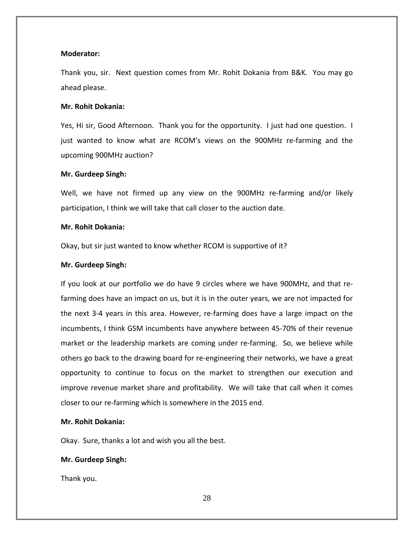# **Moderator:**

Thank you, sir. Next question comes from Mr. Rohit Dokania from B&K. You may go ahead please.

# **Mr. Rohit Dokania:**

Yes, Hi sir, Good Afternoon. Thank you for the opportunity. I just had one question. I just wanted to know what are RCOM's views on the 900MHz re‐farming and the upcoming 900MHz auction?

#### **Mr. Gurdeep Singh:**

Well, we have not firmed up any view on the 900MHz re-farming and/or likely participation, I think we will take that call closer to the auction date.

# **Mr. Rohit Dokania:**

Okay, but sir just wanted to know whether RCOM is supportive of it?

#### **Mr. Gurdeep Singh:**

If you look at our portfolio we do have 9 circles where we have 900MHz, and that re‐ farming does have an impact on us, but it is in the outer years, we are not impacted for the next 3‐4 years in this area. However, re‐farming does have a large impact on the incumbents, I think GSM incumbents have anywhere between 45‐70% of their revenue market or the leadership markets are coming under re‐farming. So, we believe while others go back to the drawing board for re‐engineering their networks, we have a great opportunity to continue to focus on the market to strengthen our execution and improve revenue market share and profitability. We will take that call when it comes closer to our re‐farming which is somewhere in the 2015 end.

# **Mr. Rohit Dokania:**

Okay. Sure, thanks a lot and wish you all the best.

# **Mr. Gurdeep Singh:**

Thank you.